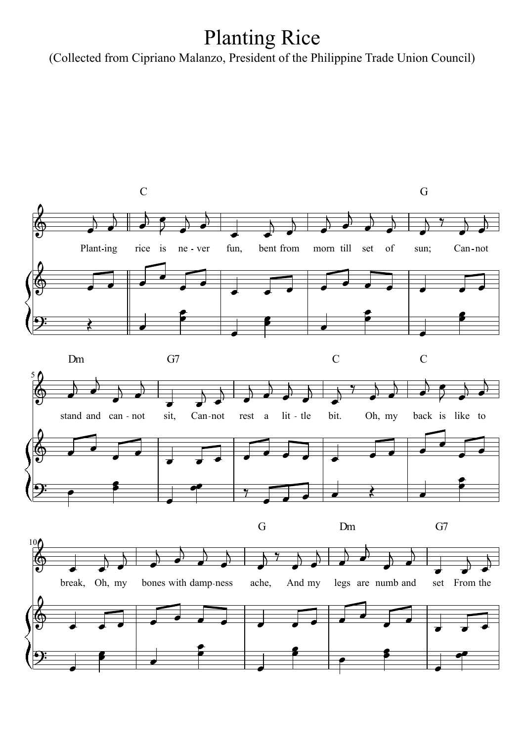## Planting Rice

(Collected from Cipriano Malanzo, President of the Philippine Trade Union Council)

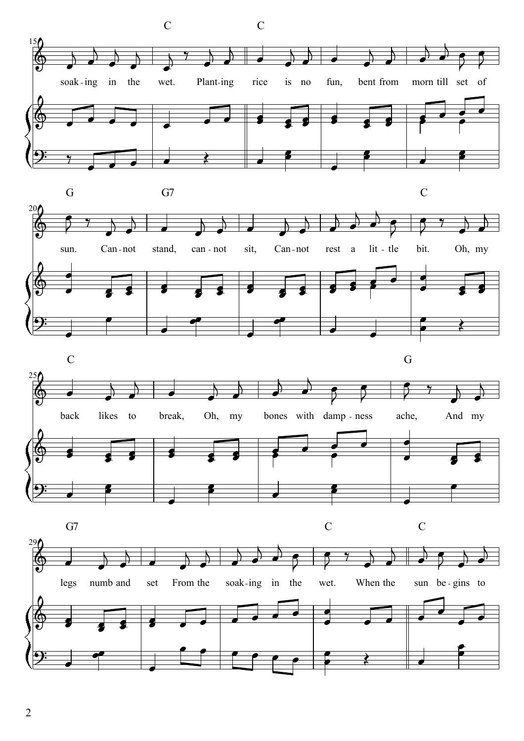





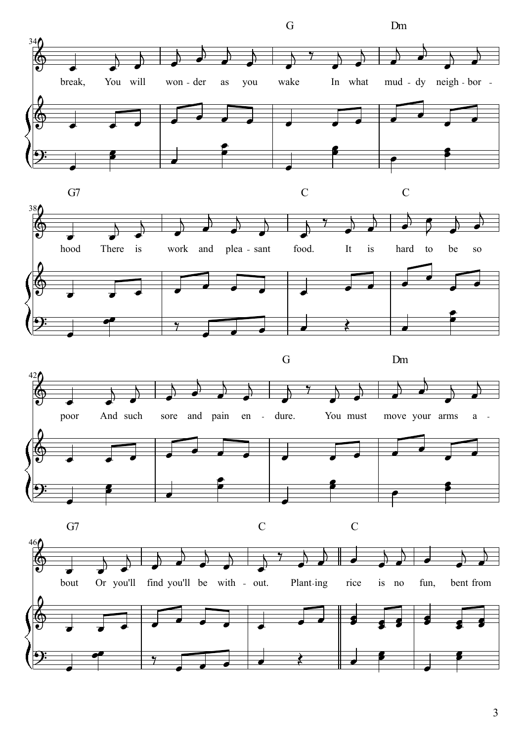

3